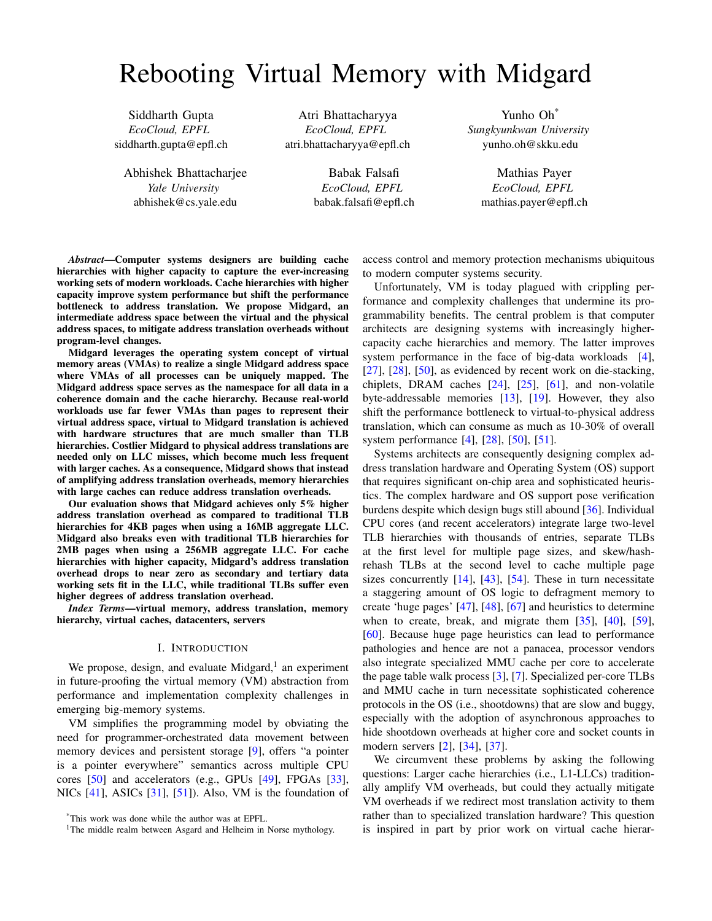# Rebooting Virtual Memory with Midgard

Siddharth Gupta *EcoCloud, EPFL* siddharth.gupta@epfl.ch

Abhishek Bhattacharjee *Yale University* abhishek@cs.yale.edu

Atri Bhattacharyya *EcoCloud, EPFL* atri.bhattacharyya@epfl.ch

> Babak Falsafi *EcoCloud, EPFL* babak.falsafi@epfl.ch

Yunho Oh\* *Sungkyunkwan University* yunho.oh@skku.edu

> Mathias Payer *EcoCloud, EPFL* mathias.payer@epfl.ch

*Abstract*—Computer systems designers are building cache hierarchies with higher capacity to capture the ever-increasing working sets of modern workloads. Cache hierarchies with higher capacity improve system performance but shift the performance bottleneck to address translation. We propose Midgard, an intermediate address space between the virtual and the physical address spaces, to mitigate address translation overheads without program-level changes.

Midgard leverages the operating system concept of virtual memory areas (VMAs) to realize a single Midgard address space where VMAs of all processes can be uniquely mapped. The Midgard address space serves as the namespace for all data in a coherence domain and the cache hierarchy. Because real-world workloads use far fewer VMAs than pages to represent their virtual address space, virtual to Midgard translation is achieved with hardware structures that are much smaller than TLB hierarchies. Costlier Midgard to physical address translations are needed only on LLC misses, which become much less frequent with larger caches. As a consequence, Midgard shows that instead of amplifying address translation overheads, memory hierarchies with large caches can reduce address translation overheads.

Our evaluation shows that Midgard achieves only 5% higher address translation overhead as compared to traditional TLB hierarchies for 4KB pages when using a 16MB aggregate LLC. Midgard also breaks even with traditional TLB hierarchies for 2MB pages when using a 256MB aggregate LLC. For cache hierarchies with higher capacity, Midgard's address translation overhead drops to near zero as secondary and tertiary data working sets fit in the LLC, while traditional TLBs suffer even higher degrees of address translation overhead.

*Index Terms*—virtual memory, address translation, memory hierarchy, virtual caches, datacenters, servers

## I. INTRODUCTION

We propose, design, and evaluate Midgard,<sup>[1](#page-0-0)</sup> an experiment in future-proofing the virtual memory (VM) abstraction from performance and implementation complexity challenges in emerging big-memory systems.

VM simplifies the programming model by obviating the need for programmer-orchestrated data movement between memory devices and persistent storage [\[9\]](#page-11-0), offers "a pointer is a pointer everywhere" semantics across multiple CPU cores [\[50\]](#page-12-0) and accelerators (e.g., GPUs [\[49\]](#page-12-1), FPGAs [\[33\]](#page-12-2), NICs  $[41]$ , ASICs  $[31]$ ,  $[51]$ ). Also, VM is the foundation of

access control and memory protection mechanisms ubiquitous to modern computer systems security.

Unfortunately, VM is today plagued with crippling performance and complexity challenges that undermine its programmability benefits. The central problem is that computer architects are designing systems with increasingly highercapacity cache hierarchies and memory. The latter improves system performance in the face of big-data workloads [\[4\]](#page-11-1),  $[27]$ ,  $[28]$ ,  $[50]$ , as evidenced by recent work on die-stacking, chiplets, DRAM caches  $[24]$ ,  $[25]$ ,  $[61]$ , and non-volatile byte-addressable memories [\[13\]](#page-11-2), [\[19\]](#page-11-3). However, they also shift the performance bottleneck to virtual-to-physical address translation, which can consume as much as 10-30% of overall system performance [\[4\]](#page-11-1), [\[28\]](#page-12-7), [\[50\]](#page-12-0), [\[51\]](#page-12-5).

Systems architects are consequently designing complex address translation hardware and Operating System (OS) support that requires significant on-chip area and sophisticated heuristics. The complex hardware and OS support pose verification burdens despite which design bugs still abound [\[36\]](#page-12-10). Individual CPU cores (and recent accelerators) integrate large two-level TLB hierarchies with thousands of entries, separate TLBs at the first level for multiple page sizes, and skew/hashrehash TLBs at the second level to cache multiple page sizes concurrently  $[14]$ ,  $[43]$ ,  $[54]$ . These in turn necessitate a staggering amount of OS logic to defragment memory to create 'huge pages' [\[47\]](#page-12-13), [\[48\]](#page-12-14), [\[67\]](#page-13-1) and heuristics to determine when to create, break, and migrate them  $[35]$ ,  $[40]$ ,  $[59]$ , [\[60\]](#page-13-2). Because huge page heuristics can lead to performance pathologies and hence are not a panacea, processor vendors also integrate specialized MMU cache per core to accelerate the page table walk process [\[3\]](#page-11-5), [\[7\]](#page-11-6). Specialized per-core TLBs and MMU cache in turn necessitate sophisticated coherence protocols in the OS (i.e., shootdowns) that are slow and buggy, especially with the adoption of asynchronous approaches to hide shootdown overheads at higher core and socket counts in modern servers [\[2\]](#page-11-7), [\[34\]](#page-12-18), [\[37\]](#page-12-19).

We circumvent these problems by asking the following questions: Larger cache hierarchies (i.e., L1-LLCs) traditionally amplify VM overheads, but could they actually mitigate VM overheads if we redirect most translation activity to them rather than to specialized translation hardware? This question is inspired in part by prior work on virtual cache hierar-

<sup>\*</sup>This work was done while the author was at EPFL.

<span id="page-0-0"></span><sup>&</sup>lt;sup>1</sup>The middle realm between Asgard and Helheim in Norse mythology.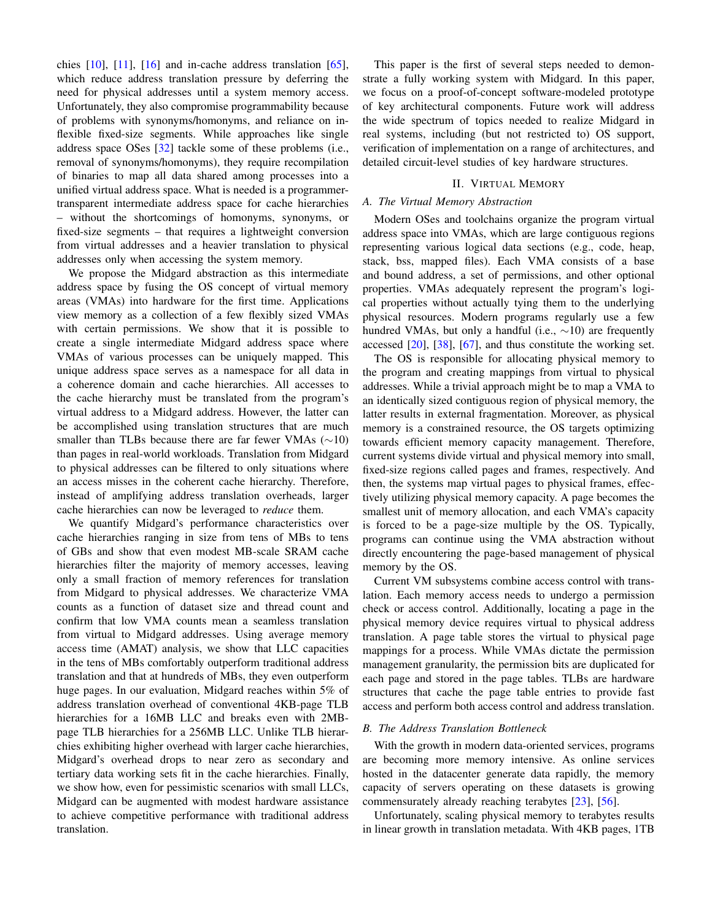chies  $[10]$ ,  $[11]$ ,  $[16]$  and in-cache address translation  $[65]$ , which reduce address translation pressure by deferring the need for physical addresses until a system memory access. Unfortunately, they also compromise programmability because of problems with synonyms/homonyms, and reliance on inflexible fixed-size segments. While approaches like single address space OSes [\[32\]](#page-12-20) tackle some of these problems (i.e., removal of synonyms/homonyms), they require recompilation of binaries to map all data shared among processes into a unified virtual address space. What is needed is a programmertransparent intermediate address space for cache hierarchies – without the shortcomings of homonyms, synonyms, or fixed-size segments – that requires a lightweight conversion from virtual addresses and a heavier translation to physical addresses only when accessing the system memory.

We propose the Midgard abstraction as this intermediate address space by fusing the OS concept of virtual memory areas (VMAs) into hardware for the first time. Applications view memory as a collection of a few flexibly sized VMAs with certain permissions. We show that it is possible to create a single intermediate Midgard address space where VMAs of various processes can be uniquely mapped. This unique address space serves as a namespace for all data in a coherence domain and cache hierarchies. All accesses to the cache hierarchy must be translated from the program's virtual address to a Midgard address. However, the latter can be accomplished using translation structures that are much smaller than TLBs because there are far fewer VMAs (∼10) than pages in real-world workloads. Translation from Midgard to physical addresses can be filtered to only situations where an access misses in the coherent cache hierarchy. Therefore, instead of amplifying address translation overheads, larger cache hierarchies can now be leveraged to *reduce* them.

We quantify Midgard's performance characteristics over cache hierarchies ranging in size from tens of MBs to tens of GBs and show that even modest MB-scale SRAM cache hierarchies filter the majority of memory accesses, leaving only a small fraction of memory references for translation from Midgard to physical addresses. We characterize VMA counts as a function of dataset size and thread count and confirm that low VMA counts mean a seamless translation from virtual to Midgard addresses. Using average memory access time (AMAT) analysis, we show that LLC capacities in the tens of MBs comfortably outperform traditional address translation and that at hundreds of MBs, they even outperform huge pages. In our evaluation, Midgard reaches within 5% of address translation overhead of conventional 4KB-page TLB hierarchies for a 16MB LLC and breaks even with 2MBpage TLB hierarchies for a 256MB LLC. Unlike TLB hierarchies exhibiting higher overhead with larger cache hierarchies, Midgard's overhead drops to near zero as secondary and tertiary data working sets fit in the cache hierarchies. Finally, we show how, even for pessimistic scenarios with small LLCs, Midgard can be augmented with modest hardware assistance to achieve competitive performance with traditional address translation.

This paper is the first of several steps needed to demonstrate a fully working system with Midgard. In this paper, we focus on a proof-of-concept software-modeled prototype of key architectural components. Future work will address the wide spectrum of topics needed to realize Midgard in real systems, including (but not restricted to) OS support, verification of implementation on a range of architectures, and detailed circuit-level studies of key hardware structures.

# II. VIRTUAL MEMORY

# *A. The Virtual Memory Abstraction*

Modern OSes and toolchains organize the program virtual address space into VMAs, which are large contiguous regions representing various logical data sections (e.g., code, heap, stack, bss, mapped files). Each VMA consists of a base and bound address, a set of permissions, and other optional properties. VMAs adequately represent the program's logical properties without actually tying them to the underlying physical resources. Modern programs regularly use a few hundred VMAs, but only a handful (i.e.,  $\sim$ 10) are frequently accessed [\[20\]](#page-12-21), [\[38\]](#page-12-22), [\[67\]](#page-13-1), and thus constitute the working set.

The OS is responsible for allocating physical memory to the program and creating mappings from virtual to physical addresses. While a trivial approach might be to map a VMA to an identically sized contiguous region of physical memory, the latter results in external fragmentation. Moreover, as physical memory is a constrained resource, the OS targets optimizing towards efficient memory capacity management. Therefore, current systems divide virtual and physical memory into small, fixed-size regions called pages and frames, respectively. And then, the systems map virtual pages to physical frames, effectively utilizing physical memory capacity. A page becomes the smallest unit of memory allocation, and each VMA's capacity is forced to be a page-size multiple by the OS. Typically, programs can continue using the VMA abstraction without directly encountering the page-based management of physical memory by the OS.

Current VM subsystems combine access control with translation. Each memory access needs to undergo a permission check or access control. Additionally, locating a page in the physical memory device requires virtual to physical address translation. A page table stores the virtual to physical page mappings for a process. While VMAs dictate the permission management granularity, the permission bits are duplicated for each page and stored in the page tables. TLBs are hardware structures that cache the page table entries to provide fast access and perform both access control and address translation.

## *B. The Address Translation Bottleneck*

With the growth in modern data-oriented services, programs are becoming more memory intensive. As online services hosted in the datacenter generate data rapidly, the memory capacity of servers operating on these datasets is growing commensurately already reaching terabytes [\[23\]](#page-12-23), [\[56\]](#page-12-24).

Unfortunately, scaling physical memory to terabytes results in linear growth in translation metadata. With 4KB pages, 1TB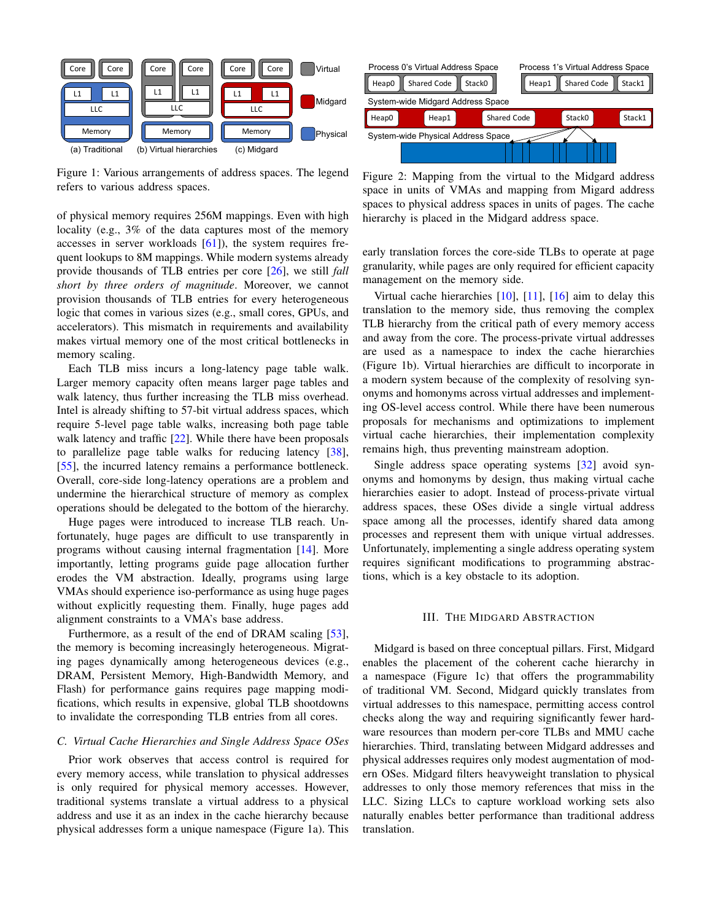<span id="page-2-0"></span>

Figure 1: Various arrangements of address spaces. The legend refers to various address spaces.

of physical memory requires 256M mappings. Even with high locality (e.g., 3% of the data captures most of the memory accesses in server workloads [\[61\]](#page-13-0)), the system requires frequent lookups to 8M mappings. While modern systems already provide thousands of TLB entries per core [\[26\]](#page-12-25), we still *fall short by three orders of magnitude*. Moreover, we cannot provision thousands of TLB entries for every heterogeneous logic that comes in various sizes (e.g., small cores, GPUs, and accelerators). This mismatch in requirements and availability makes virtual memory one of the most critical bottlenecks in memory scaling.

Each TLB miss incurs a long-latency page table walk. Larger memory capacity often means larger page tables and walk latency, thus further increasing the TLB miss overhead. Intel is already shifting to 57-bit virtual address spaces, which require 5-level page table walks, increasing both page table walk latency and traffic [\[22\]](#page-12-26). While there have been proposals to parallelize page table walks for reducing latency [\[38\]](#page-12-22), [\[55\]](#page-12-27), the incurred latency remains a performance bottleneck. Overall, core-side long-latency operations are a problem and undermine the hierarchical structure of memory as complex operations should be delegated to the bottom of the hierarchy.

Huge pages were introduced to increase TLB reach. Unfortunately, huge pages are difficult to use transparently in programs without causing internal fragmentation [\[14\]](#page-11-4). More importantly, letting programs guide page allocation further erodes the VM abstraction. Ideally, programs using large VMAs should experience iso-performance as using huge pages without explicitly requesting them. Finally, huge pages add alignment constraints to a VMA's base address.

Furthermore, as a result of the end of DRAM scaling [\[53\]](#page-12-28), the memory is becoming increasingly heterogeneous. Migrating pages dynamically among heterogeneous devices (e.g., DRAM, Persistent Memory, High-Bandwidth Memory, and Flash) for performance gains requires page mapping modifications, which results in expensive, global TLB shootdowns to invalidate the corresponding TLB entries from all cores.

## *C. Virtual Cache Hierarchies and Single Address Space OSes*

Prior work observes that access control is required for every memory access, while translation to physical addresses is only required for physical memory accesses. However, traditional systems translate a virtual address to a physical address and use it as an index in the cache hierarchy because physical addresses form a unique namespace (Figure [1a\)](#page-2-0). This

<span id="page-2-2"></span>

<span id="page-2-1"></span>Figure 2: Mapping from the virtual to the Midgard address space in units of VMAs and mapping from Migard address spaces to physical address spaces in units of pages. The cache hierarchy is placed in the Midgard address space.

early translation forces the core-side TLBs to operate at page granularity, while pages are only required for efficient capacity management on the memory side.

Virtual cache hierarchies  $[10]$ ,  $[11]$ ,  $[16]$  aim to delay this translation to the memory side, thus removing the complex TLB hierarchy from the critical path of every memory access and away from the core. The process-private virtual addresses are used as a namespace to index the cache hierarchies (Figure [1b\)](#page-2-1). Virtual hierarchies are difficult to incorporate in a modern system because of the complexity of resolving synonyms and homonyms across virtual addresses and implementing OS-level access control. While there have been numerous proposals for mechanisms and optimizations to implement virtual cache hierarchies, their implementation complexity remains high, thus preventing mainstream adoption.

Single address space operating systems [\[32\]](#page-12-20) avoid synonyms and homonyms by design, thus making virtual cache hierarchies easier to adopt. Instead of process-private virtual address spaces, these OSes divide a single virtual address space among all the processes, identify shared data among processes and represent them with unique virtual addresses. Unfortunately, implementing a single address operating system requires significant modifications to programming abstractions, which is a key obstacle to its adoption.

## III. THE MIDGARD ABSTRACTION

Midgard is based on three conceptual pillars. First, Midgard enables the placement of the coherent cache hierarchy in a namespace (Figure [1c\)](#page-2-1) that offers the programmability of traditional VM. Second, Midgard quickly translates from virtual addresses to this namespace, permitting access control checks along the way and requiring significantly fewer hardware resources than modern per-core TLBs and MMU cache hierarchies. Third, translating between Midgard addresses and physical addresses requires only modest augmentation of modern OSes. Midgard filters heavyweight translation to physical addresses to only those memory references that miss in the LLC. Sizing LLCs to capture workload working sets also naturally enables better performance than traditional address translation.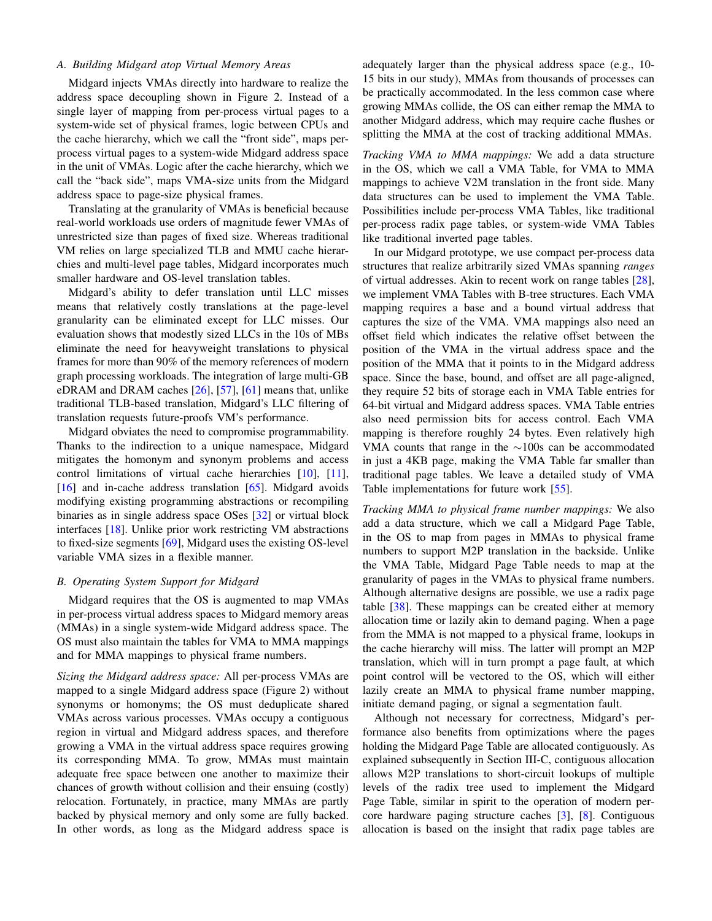# *A. Building Midgard atop Virtual Memory Areas*

Midgard injects VMAs directly into hardware to realize the address space decoupling shown in Figure [2.](#page-2-2) Instead of a single layer of mapping from per-process virtual pages to a system-wide set of physical frames, logic between CPUs and the cache hierarchy, which we call the "front side", maps perprocess virtual pages to a system-wide Midgard address space in the unit of VMAs. Logic after the cache hierarchy, which we call the "back side", maps VMA-size units from the Midgard address space to page-size physical frames.

Translating at the granularity of VMAs is beneficial because real-world workloads use orders of magnitude fewer VMAs of unrestricted size than pages of fixed size. Whereas traditional VM relies on large specialized TLB and MMU cache hierarchies and multi-level page tables, Midgard incorporates much smaller hardware and OS-level translation tables.

Midgard's ability to defer translation until LLC misses means that relatively costly translations at the page-level granularity can be eliminated except for LLC misses. Our evaluation shows that modestly sized LLCs in the 10s of MBs eliminate the need for heavyweight translations to physical frames for more than 90% of the memory references of modern graph processing workloads. The integration of large multi-GB eDRAM and DRAM caches  $[26]$ ,  $[57]$ ,  $[61]$  means that, unlike traditional TLB-based translation, Midgard's LLC filtering of translation requests future-proofs VM's performance.

Midgard obviates the need to compromise programmability. Thanks to the indirection to a unique namespace, Midgard mitigates the homonym and synonym problems and access control limitations of virtual cache hierarchies [\[10\]](#page-11-8), [\[11\]](#page-11-9), [\[16\]](#page-11-10) and in-cache address translation [\[65\]](#page-13-3). Midgard avoids modifying existing programming abstractions or recompiling binaries as in single address space OSes [\[32\]](#page-12-20) or virtual block interfaces [\[18\]](#page-11-11). Unlike prior work restricting VM abstractions to fixed-size segments [\[69\]](#page-13-4), Midgard uses the existing OS-level variable VMA sizes in a flexible manner.

## *B. Operating System Support for Midgard*

Midgard requires that the OS is augmented to map VMAs in per-process virtual address spaces to Midgard memory areas (MMAs) in a single system-wide Midgard address space. The OS must also maintain the tables for VMA to MMA mappings and for MMA mappings to physical frame numbers.

*Sizing the Midgard address space:* All per-process VMAs are mapped to a single Midgard address space (Figure [2\)](#page-2-2) without synonyms or homonyms; the OS must deduplicate shared VMAs across various processes. VMAs occupy a contiguous region in virtual and Midgard address spaces, and therefore growing a VMA in the virtual address space requires growing its corresponding MMA. To grow, MMAs must maintain adequate free space between one another to maximize their chances of growth without collision and their ensuing (costly) relocation. Fortunately, in practice, many MMAs are partly backed by physical memory and only some are fully backed. In other words, as long as the Midgard address space is

adequately larger than the physical address space (e.g., 10- 15 bits in our study), MMAs from thousands of processes can be practically accommodated. In the less common case where growing MMAs collide, the OS can either remap the MMA to another Midgard address, which may require cache flushes or splitting the MMA at the cost of tracking additional MMAs.

*Tracking VMA to MMA mappings:* We add a data structure in the OS, which we call a VMA Table, for VMA to MMA mappings to achieve V2M translation in the front side. Many data structures can be used to implement the VMA Table. Possibilities include per-process VMA Tables, like traditional per-process radix page tables, or system-wide VMA Tables like traditional inverted page tables.

In our Midgard prototype, we use compact per-process data structures that realize arbitrarily sized VMAs spanning *ranges* of virtual addresses. Akin to recent work on range tables [\[28\]](#page-12-7), we implement VMA Tables with B-tree structures. Each VMA mapping requires a base and a bound virtual address that captures the size of the VMA. VMA mappings also need an offset field which indicates the relative offset between the position of the VMA in the virtual address space and the position of the MMA that it points to in the Midgard address space. Since the base, bound, and offset are all page-aligned, they require 52 bits of storage each in VMA Table entries for 64-bit virtual and Midgard address spaces. VMA Table entries also need permission bits for access control. Each VMA mapping is therefore roughly 24 bytes. Even relatively high VMA counts that range in the ∼100s can be accommodated in just a 4KB page, making the VMA Table far smaller than traditional page tables. We leave a detailed study of VMA Table implementations for future work [\[55\]](#page-12-27).

*Tracking MMA to physical frame number mappings:* We also add a data structure, which we call a Midgard Page Table, in the OS to map from pages in MMAs to physical frame numbers to support M2P translation in the backside. Unlike the VMA Table, Midgard Page Table needs to map at the granularity of pages in the VMAs to physical frame numbers. Although alternative designs are possible, we use a radix page table  $[38]$ . These mappings can be created either at memory allocation time or lazily akin to demand paging. When a page from the MMA is not mapped to a physical frame, lookups in the cache hierarchy will miss. The latter will prompt an M2P translation, which will in turn prompt a page fault, at which point control will be vectored to the OS, which will either lazily create an MMA to physical frame number mapping, initiate demand paging, or signal a segmentation fault.

Although not necessary for correctness, Midgard's performance also benefits from optimizations where the pages holding the Midgard Page Table are allocated contiguously. As explained subsequently in Section [III-C,](#page-4-0) contiguous allocation allows M2P translations to short-circuit lookups of multiple levels of the radix tree used to implement the Midgard Page Table, similar in spirit to the operation of modern percore hardware paging structure caches [\[3\]](#page-11-5), [\[8\]](#page-11-12). Contiguous allocation is based on the insight that radix page tables are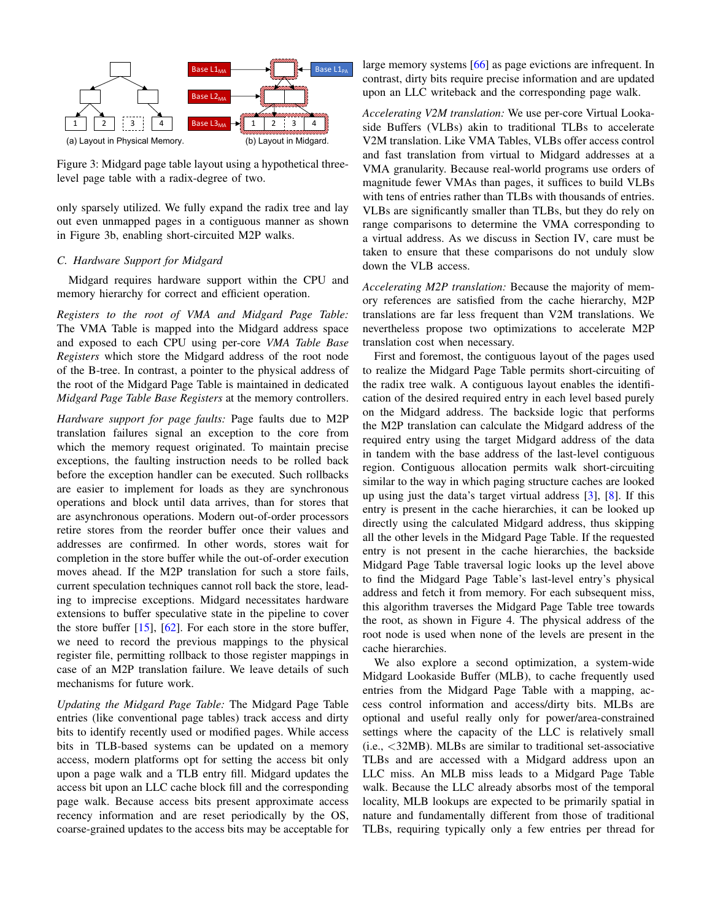

Figure 3: Midgard page table layout using a hypothetical threelevel page table with a radix-degree of two.

only sparsely utilized. We fully expand the radix tree and lay out even unmapped pages in a contiguous manner as shown in Figure [3b,](#page-4-1) enabling short-circuited M2P walks.

# <span id="page-4-0"></span>*C. Hardware Support for Midgard*

Midgard requires hardware support within the CPU and memory hierarchy for correct and efficient operation.

*Registers to the root of VMA and Midgard Page Table:* The VMA Table is mapped into the Midgard address space and exposed to each CPU using per-core *VMA Table Base Registers* which store the Midgard address of the root node of the B-tree. In contrast, a pointer to the physical address of the root of the Midgard Page Table is maintained in dedicated *Midgard Page Table Base Registers* at the memory controllers.

*Hardware support for page faults:* Page faults due to M2P translation failures signal an exception to the core from which the memory request originated. To maintain precise exceptions, the faulting instruction needs to be rolled back before the exception handler can be executed. Such rollbacks are easier to implement for loads as they are synchronous operations and block until data arrives, than for stores that are asynchronous operations. Modern out-of-order processors retire stores from the reorder buffer once their values and addresses are confirmed. In other words, stores wait for completion in the store buffer while the out-of-order execution moves ahead. If the M2P translation for such a store fails, current speculation techniques cannot roll back the store, leading to imprecise exceptions. Midgard necessitates hardware extensions to buffer speculative state in the pipeline to cover the store buffer [\[15\]](#page-11-13), [\[62\]](#page-13-5). For each store in the store buffer, we need to record the previous mappings to the physical register file, permitting rollback to those register mappings in case of an M2P translation failure. We leave details of such mechanisms for future work.

*Updating the Midgard Page Table:* The Midgard Page Table entries (like conventional page tables) track access and dirty bits to identify recently used or modified pages. While access bits in TLB-based systems can be updated on a memory access, modern platforms opt for setting the access bit only upon a page walk and a TLB entry fill. Midgard updates the access bit upon an LLC cache block fill and the corresponding page walk. Because access bits present approximate access recency information and are reset periodically by the OS, coarse-grained updates to the access bits may be acceptable for large memory systems [\[66\]](#page-13-6) as page evictions are infrequent. In contrast, dirty bits require precise information and are updated upon an LLC writeback and the corresponding page walk.

<span id="page-4-1"></span>*Accelerating V2M translation:* We use per-core Virtual Lookaside Buffers (VLBs) akin to traditional TLBs to accelerate V2M translation. Like VMA Tables, VLBs offer access control and fast translation from virtual to Midgard addresses at a VMA granularity. Because real-world programs use orders of magnitude fewer VMAs than pages, it suffices to build VLBs with tens of entries rather than TLBs with thousands of entries. VLBs are significantly smaller than TLBs, but they do rely on range comparisons to determine the VMA corresponding to a virtual address. As we discuss in Section [IV,](#page-5-0) care must be taken to ensure that these comparisons do not unduly slow down the VLB access.

*Accelerating M2P translation:* Because the majority of memory references are satisfied from the cache hierarchy, M2P translations are far less frequent than V2M translations. We nevertheless propose two optimizations to accelerate M2P translation cost when necessary.

First and foremost, the contiguous layout of the pages used to realize the Midgard Page Table permits short-circuiting of the radix tree walk. A contiguous layout enables the identification of the desired required entry in each level based purely on the Midgard address. The backside logic that performs the M2P translation can calculate the Midgard address of the required entry using the target Midgard address of the data in tandem with the base address of the last-level contiguous region. Contiguous allocation permits walk short-circuiting similar to the way in which paging structure caches are looked up using just the data's target virtual address [\[3\]](#page-11-5), [\[8\]](#page-11-12). If this entry is present in the cache hierarchies, it can be looked up directly using the calculated Midgard address, thus skipping all the other levels in the Midgard Page Table. If the requested entry is not present in the cache hierarchies, the backside Midgard Page Table traversal logic looks up the level above to find the Midgard Page Table's last-level entry's physical address and fetch it from memory. For each subsequent miss, this algorithm traverses the Midgard Page Table tree towards the root, as shown in Figure [4.](#page-5-1) The physical address of the root node is used when none of the levels are present in the cache hierarchies.

We also explore a second optimization, a system-wide Midgard Lookaside Buffer (MLB), to cache frequently used entries from the Midgard Page Table with a mapping, access control information and access/dirty bits. MLBs are optional and useful really only for power/area-constrained settings where the capacity of the LLC is relatively small (i.e., <32MB). MLBs are similar to traditional set-associative TLBs and are accessed with a Midgard address upon an LLC miss. An MLB miss leads to a Midgard Page Table walk. Because the LLC already absorbs most of the temporal locality, MLB lookups are expected to be primarily spatial in nature and fundamentally different from those of traditional TLBs, requiring typically only a few entries per thread for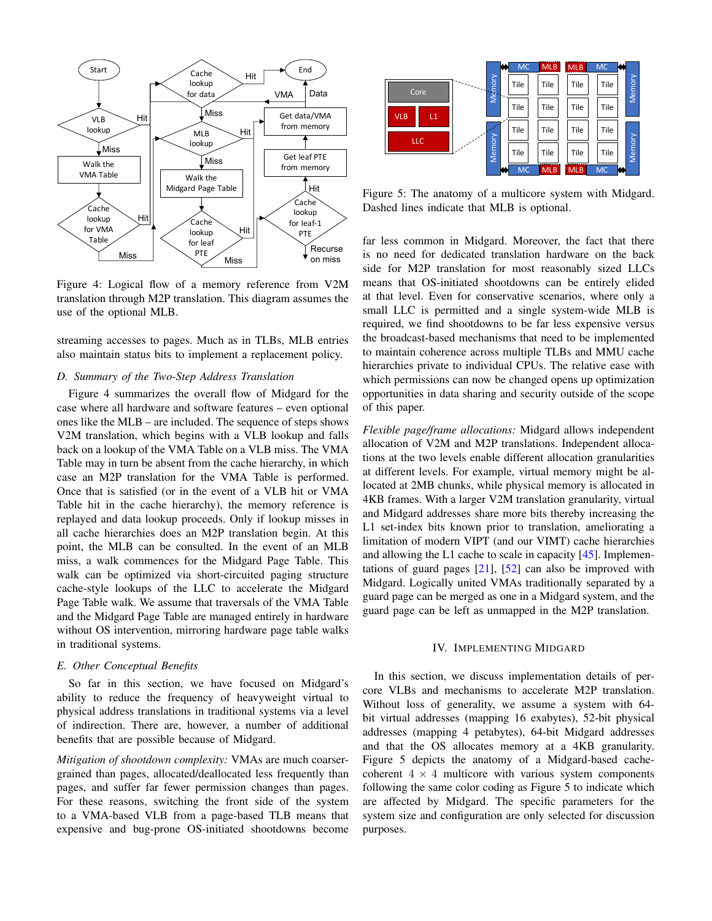<span id="page-5-1"></span>

Figure 4: Logical flow of a memory reference from V2M translation through M2P translation. This diagram assumes the use of the optional MLB.

streaming accesses to pages. Much as in TLBs, MLB entries also maintain status bits to implement a replacement policy.

# *D. Summary of the Two-Step Address Translation*

Figure [4](#page-5-1) summarizes the overall flow of Midgard for the case where all hardware and software features – even optional ones like the MLB – are included. The sequence of steps shows V2M translation, which begins with a VLB lookup and falls back on a lookup of the VMA Table on a VLB miss. The VMA Table may in turn be absent from the cache hierarchy, in which case an M2P translation for the VMA Table is performed. Once that is satisfied (or in the event of a VLB hit or VMA Table hit in the cache hierarchy), the memory reference is replayed and data lookup proceeds. Only if lookup misses in all cache hierarchies does an M2P translation begin. At this point, the MLB can be consulted. In the event of an MLB miss, a walk commences for the Midgard Page Table. This walk can be optimized via short-circuited paging structure cache-style lookups of the LLC to accelerate the Midgard Page Table walk. We assume that traversals of the VMA Table and the Midgard Page Table are managed entirely in hardware without OS intervention, mirroring hardware page table walks in traditional systems.

## *E. Other Conceptual Benefits*

So far in this section, we have focused on Midgard's ability to reduce the frequency of heavyweight virtual to physical address translations in traditional systems via a level of indirection. There are, however, a number of additional benefits that are possible because of Midgard.

*Mitigation of shootdown complexity:* VMAs are much coarsergrained than pages, allocated/deallocated less frequently than pages, and suffer far fewer permission changes than pages. For these reasons, switching the front side of the system to a VMA-based VLB from a page-based TLB means that expensive and bug-prone OS-initiated shootdowns become

<span id="page-5-2"></span>

Figure 5: The anatomy of a multicore system with Midgard. Dashed lines indicate that MLB is optional.

far less common in Midgard. Moreover, the fact that there is no need for dedicated translation hardware on the back side for M2P translation for most reasonably sized LLCs means that OS-initiated shootdowns can be entirely elided at that level. Even for conservative scenarios, where only a small LLC is permitted and a single system-wide MLB is required, we find shootdowns to be far less expensive versus the broadcast-based mechanisms that need to be implemented to maintain coherence across multiple TLBs and MMU cache hierarchies private to individual CPUs. The relative ease with which permissions can now be changed opens up optimization opportunities in data sharing and security outside of the scope of this paper.

*Flexible page/frame allocations:* Midgard allows independent allocation of V2M and M2P translations. Independent allocations at the two levels enable different allocation granularities at different levels. For example, virtual memory might be allocated at 2MB chunks, while physical memory is allocated in 4KB frames. With a larger V2M translation granularity, virtual and Midgard addresses share more bits thereby increasing the L1 set-index bits known prior to translation, ameliorating a limitation of modern VIPT (and our VIMT) cache hierarchies and allowing the L1 cache to scale in capacity [\[45\]](#page-12-30). Implementations of guard pages [\[21\]](#page-12-31), [\[52\]](#page-12-32) can also be improved with Midgard. Logically united VMAs traditionally separated by a guard page can be merged as one in a Midgard system, and the guard page can be left as unmapped in the M2P translation.

## IV. IMPLEMENTING MIDGARD

<span id="page-5-0"></span>In this section, we discuss implementation details of percore VLBs and mechanisms to accelerate M2P translation. Without loss of generality, we assume a system with 64 bit virtual addresses (mapping 16 exabytes), 52-bit physical addresses (mapping 4 petabytes), 64-bit Midgard addresses and that the OS allocates memory at a 4KB granularity. Figure [5](#page-5-2) depicts the anatomy of a Midgard-based cachecoherent  $4 \times 4$  multicore with various system components following the same color coding as Figure [5](#page-5-2) to indicate which are affected by Midgard. The specific parameters for the system size and configuration are only selected for discussion purposes.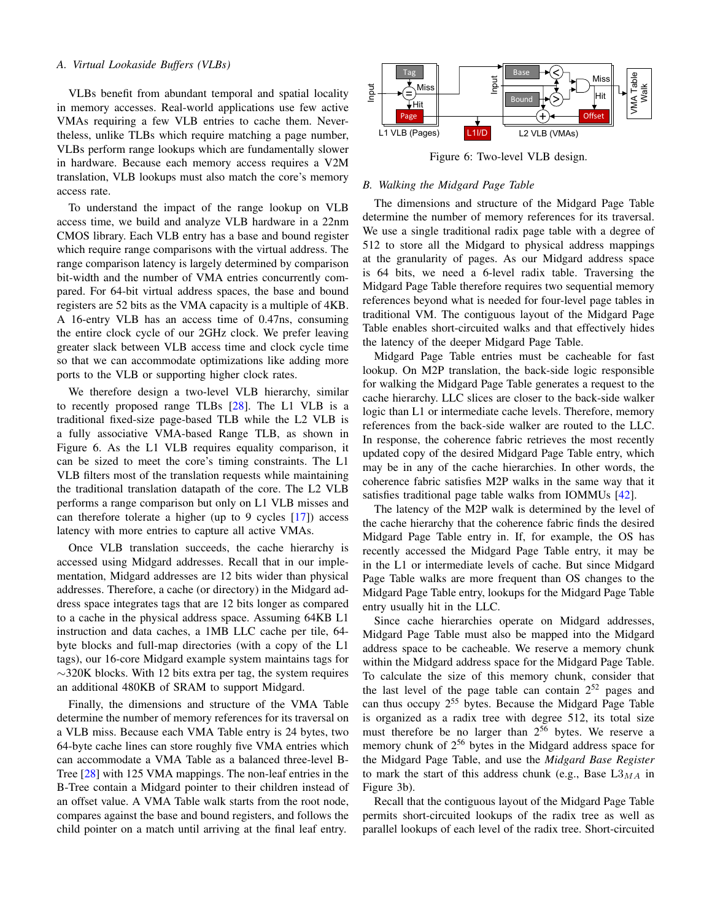# *A. Virtual Lookaside Buffers (VLBs)*

VLBs benefit from abundant temporal and spatial locality in memory accesses. Real-world applications use few active VMAs requiring a few VLB entries to cache them. Nevertheless, unlike TLBs which require matching a page number, VLBs perform range lookups which are fundamentally slower in hardware. Because each memory access requires a V2M translation, VLB lookups must also match the core's memory access rate.

To understand the impact of the range lookup on VLB access time, we build and analyze VLB hardware in a 22nm CMOS library. Each VLB entry has a base and bound register which require range comparisons with the virtual address. The range comparison latency is largely determined by comparison bit-width and the number of VMA entries concurrently compared. For 64-bit virtual address spaces, the base and bound registers are 52 bits as the VMA capacity is a multiple of 4KB. A 16-entry VLB has an access time of 0.47ns, consuming the entire clock cycle of our 2GHz clock. We prefer leaving greater slack between VLB access time and clock cycle time so that we can accommodate optimizations like adding more ports to the VLB or supporting higher clock rates.

We therefore design a two-level VLB hierarchy, similar to recently proposed range TLBs [\[28\]](#page-12-7). The L1 VLB is a traditional fixed-size page-based TLB while the L2 VLB is a fully associative VMA-based Range TLB, as shown in Figure [6.](#page-6-0) As the L1 VLB requires equality comparison, it can be sized to meet the core's timing constraints. The L1 VLB filters most of the translation requests while maintaining the traditional translation datapath of the core. The L2 VLB performs a range comparison but only on L1 VLB misses and can therefore tolerate a higher (up to 9 cycles [\[17\]](#page-11-14)) access latency with more entries to capture all active VMAs.

Once VLB translation succeeds, the cache hierarchy is accessed using Midgard addresses. Recall that in our implementation, Midgard addresses are 12 bits wider than physical addresses. Therefore, a cache (or directory) in the Midgard address space integrates tags that are 12 bits longer as compared to a cache in the physical address space. Assuming 64KB L1 instruction and data caches, a 1MB LLC cache per tile, 64 byte blocks and full-map directories (with a copy of the L1 tags), our 16-core Midgard example system maintains tags for  $\sim$ 320K blocks. With 12 bits extra per tag, the system requires an additional 480KB of SRAM to support Midgard.

Finally, the dimensions and structure of the VMA Table determine the number of memory references for its traversal on a VLB miss. Because each VMA Table entry is 24 bytes, two 64-byte cache lines can store roughly five VMA entries which can accommodate a VMA Table as a balanced three-level B-Tree [\[28\]](#page-12-7) with 125 VMA mappings. The non-leaf entries in the B-Tree contain a Midgard pointer to their children instead of an offset value. A VMA Table walk starts from the root node, compares against the base and bound registers, and follows the child pointer on a match until arriving at the final leaf entry.

<span id="page-6-0"></span>

Figure 6: Two-level VLB design.

#### *B. Walking the Midgard Page Table*

The dimensions and structure of the Midgard Page Table determine the number of memory references for its traversal. We use a single traditional radix page table with a degree of 512 to store all the Midgard to physical address mappings at the granularity of pages. As our Midgard address space is 64 bits, we need a 6-level radix table. Traversing the Midgard Page Table therefore requires two sequential memory references beyond what is needed for four-level page tables in traditional VM. The contiguous layout of the Midgard Page Table enables short-circuited walks and that effectively hides the latency of the deeper Midgard Page Table.

Midgard Page Table entries must be cacheable for fast lookup. On M2P translation, the back-side logic responsible for walking the Midgard Page Table generates a request to the cache hierarchy. LLC slices are closer to the back-side walker logic than L1 or intermediate cache levels. Therefore, memory references from the back-side walker are routed to the LLC. In response, the coherence fabric retrieves the most recently updated copy of the desired Midgard Page Table entry, which may be in any of the cache hierarchies. In other words, the coherence fabric satisfies M2P walks in the same way that it satisfies traditional page table walks from IOMMUs [\[42\]](#page-12-33).

The latency of the M2P walk is determined by the level of the cache hierarchy that the coherence fabric finds the desired Midgard Page Table entry in. If, for example, the OS has recently accessed the Midgard Page Table entry, it may be in the L1 or intermediate levels of cache. But since Midgard Page Table walks are more frequent than OS changes to the Midgard Page Table entry, lookups for the Midgard Page Table entry usually hit in the LLC.

Since cache hierarchies operate on Midgard addresses, Midgard Page Table must also be mapped into the Midgard address space to be cacheable. We reserve a memory chunk within the Midgard address space for the Midgard Page Table. To calculate the size of this memory chunk, consider that the last level of the page table can contain  $2^{52}$  pages and can thus occupy 2<sup>55</sup> bytes. Because the Midgard Page Table is organized as a radix tree with degree 512, its total size must therefore be no larger than  $2^{56}$  bytes. We reserve a memory chunk of  $2^{56}$  bytes in the Midgard address space for the Midgard Page Table, and use the *Midgard Base Register* to mark the start of this address chunk (e.g., Base  $L3_{MA}$  in Figure [3b\)](#page-4-1).

Recall that the contiguous layout of the Midgard Page Table permits short-circuited lookups of the radix tree as well as parallel lookups of each level of the radix tree. Short-circuited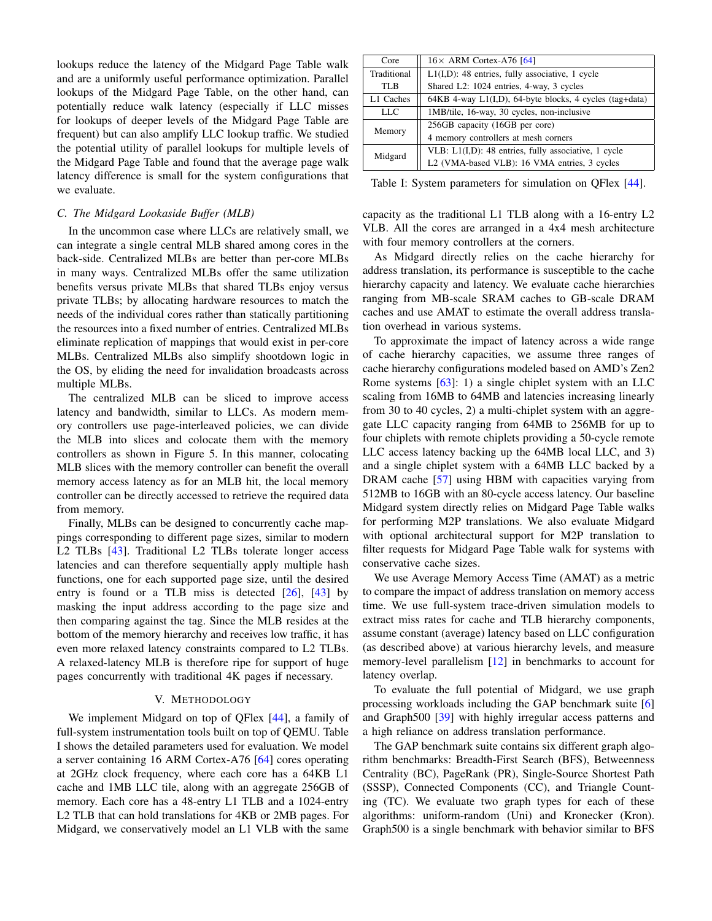lookups reduce the latency of the Midgard Page Table walk and are a uniformly useful performance optimization. Parallel lookups of the Midgard Page Table, on the other hand, can potentially reduce walk latency (especially if LLC misses for lookups of deeper levels of the Midgard Page Table are frequent) but can also amplify LLC lookup traffic. We studied the potential utility of parallel lookups for multiple levels of the Midgard Page Table and found that the average page walk latency difference is small for the system configurations that we evaluate.

## *C. The Midgard Lookaside Buffer (MLB)*

In the uncommon case where LLCs are relatively small, we can integrate a single central MLB shared among cores in the back-side. Centralized MLBs are better than per-core MLBs in many ways. Centralized MLBs offer the same utilization benefits versus private MLBs that shared TLBs enjoy versus private TLBs; by allocating hardware resources to match the needs of the individual cores rather than statically partitioning the resources into a fixed number of entries. Centralized MLBs eliminate replication of mappings that would exist in per-core MLBs. Centralized MLBs also simplify shootdown logic in the OS, by eliding the need for invalidation broadcasts across multiple MLBs.

The centralized MLB can be sliced to improve access latency and bandwidth, similar to LLCs. As modern memory controllers use page-interleaved policies, we can divide the MLB into slices and colocate them with the memory controllers as shown in Figure [5.](#page-5-2) In this manner, colocating MLB slices with the memory controller can benefit the overall memory access latency as for an MLB hit, the local memory controller can be directly accessed to retrieve the required data from memory.

Finally, MLBs can be designed to concurrently cache mappings corresponding to different page sizes, similar to modern L2 TLBs [\[43\]](#page-12-11). Traditional L2 TLBs tolerate longer access latencies and can therefore sequentially apply multiple hash functions, one for each supported page size, until the desired entry is found or a TLB miss is detected [\[26\]](#page-12-25), [\[43\]](#page-12-11) by masking the input address according to the page size and then comparing against the tag. Since the MLB resides at the bottom of the memory hierarchy and receives low traffic, it has even more relaxed latency constraints compared to L2 TLBs. A relaxed-latency MLB is therefore ripe for support of huge pages concurrently with traditional 4K pages if necessary.

## V. METHODOLOGY

<span id="page-7-1"></span>We implement Midgard on top of QFlex [\[44\]](#page-12-34), a family of full-system instrumentation tools built on top of QEMU. Table [I](#page-7-0) shows the detailed parameters used for evaluation. We model a server containing 16 ARM Cortex-A76 [\[64\]](#page-13-7) cores operating at 2GHz clock frequency, where each core has a 64KB L1 cache and 1MB LLC tile, along with an aggregate 256GB of memory. Each core has a 48-entry L1 TLB and a 1024-entry L2 TLB that can hold translations for 4KB or 2MB pages. For Midgard, we conservatively model an L1 VLB with the same

<span id="page-7-0"></span>

| Core        | $16\times$ ARM Cortex-A76 [64]                            |
|-------------|-----------------------------------------------------------|
| Traditional | $L1(I,D)$ : 48 entries, fully associative, 1 cycle        |
| TLB         | Shared L2: 1024 entries, 4-way, 3 cycles                  |
| L1 Caches   | $64KB$ 4-way L1(I,D), 64-byte blocks, 4 cycles (tag+data) |
| LLC         | 1MB/tile, 16-way, 30 cycles, non-inclusive                |
| Memory      | 256GB capacity (16GB per core)                            |
|             | 4 memory controllers at mesh corners                      |
| Midgard     | VLB: L1(I,D): 48 entries, fully associative, 1 cycle      |
|             | L2 (VMA-based VLB): 16 VMA entries, 3 cycles              |
|             |                                                           |

Table I: System parameters for simulation on QFlex [\[44\]](#page-12-34).

capacity as the traditional L1 TLB along with a 16-entry L2 VLB. All the cores are arranged in a 4x4 mesh architecture with four memory controllers at the corners.

As Midgard directly relies on the cache hierarchy for address translation, its performance is susceptible to the cache hierarchy capacity and latency. We evaluate cache hierarchies ranging from MB-scale SRAM caches to GB-scale DRAM caches and use AMAT to estimate the overall address translation overhead in various systems.

To approximate the impact of latency across a wide range of cache hierarchy capacities, we assume three ranges of cache hierarchy configurations modeled based on AMD's Zen2 Rome systems [\[63\]](#page-13-8): 1) a single chiplet system with an LLC scaling from 16MB to 64MB and latencies increasing linearly from 30 to 40 cycles, 2) a multi-chiplet system with an aggregate LLC capacity ranging from 64MB to 256MB for up to four chiplets with remote chiplets providing a 50-cycle remote LLC access latency backing up the 64MB local LLC, and 3) and a single chiplet system with a 64MB LLC backed by a DRAM cache [\[57\]](#page-12-29) using HBM with capacities varying from 512MB to 16GB with an 80-cycle access latency. Our baseline Midgard system directly relies on Midgard Page Table walks for performing M2P translations. We also evaluate Midgard with optional architectural support for M2P translation to filter requests for Midgard Page Table walk for systems with conservative cache sizes.

We use Average Memory Access Time (AMAT) as a metric to compare the impact of address translation on memory access time. We use full-system trace-driven simulation models to extract miss rates for cache and TLB hierarchy components, assume constant (average) latency based on LLC configuration (as described above) at various hierarchy levels, and measure memory-level parallelism [\[12\]](#page-11-15) in benchmarks to account for latency overlap.

To evaluate the full potential of Midgard, we use graph processing workloads including the GAP benchmark suite [\[6\]](#page-11-16) and Graph500 [\[39\]](#page-12-35) with highly irregular access patterns and a high reliance on address translation performance.

The GAP benchmark suite contains six different graph algorithm benchmarks: Breadth-First Search (BFS), Betweenness Centrality (BC), PageRank (PR), Single-Source Shortest Path (SSSP), Connected Components (CC), and Triangle Counting (TC). We evaluate two graph types for each of these algorithms: uniform-random (Uni) and Kronecker (Kron). Graph500 is a single benchmark with behavior similar to BFS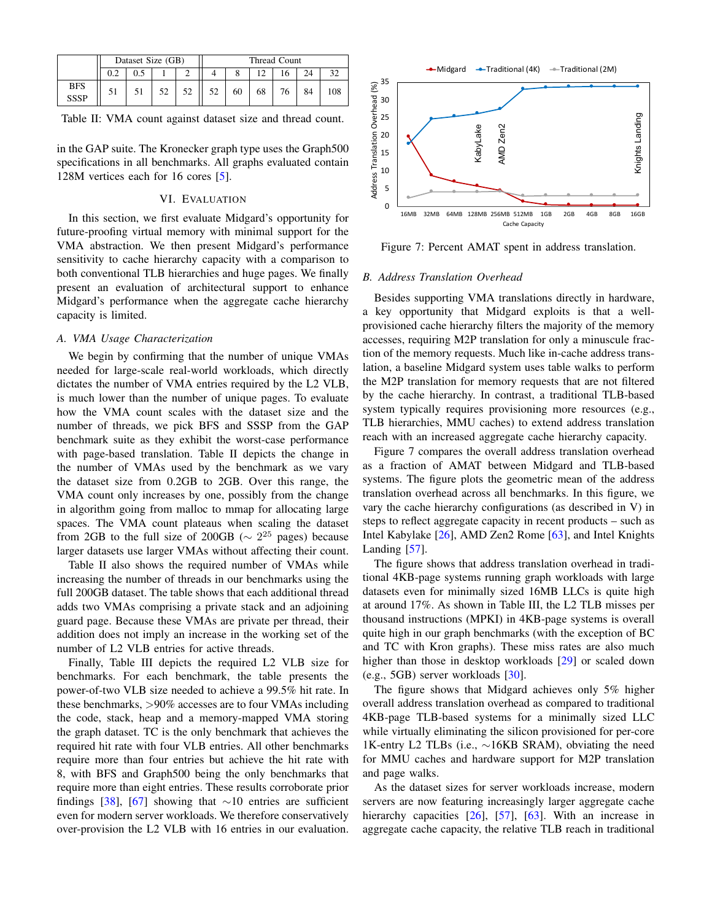<span id="page-8-0"></span>

|                           | Dataset Size (GB) |  |  |  | Thread Count |    |    |  |    |  |
|---------------------------|-------------------|--|--|--|--------------|----|----|--|----|--|
|                           |                   |  |  |  |              |    |    |  |    |  |
| <b>BFS</b><br><b>SSSP</b> |                   |  |  |  | 50           | 60 | 68 |  | 84 |  |

Table II: VMA count against dataset size and thread count.

in the GAP suite. The Kronecker graph type uses the Graph500 specifications in all benchmarks. All graphs evaluated contain 128M vertices each for 16 cores [\[5\]](#page-11-17).

# VI. EVALUATION

In this section, we first evaluate Midgard's opportunity for future-proofing virtual memory with minimal support for the VMA abstraction. We then present Midgard's performance sensitivity to cache hierarchy capacity with a comparison to both conventional TLB hierarchies and huge pages. We finally present an evaluation of architectural support to enhance Midgard's performance when the aggregate cache hierarchy capacity is limited.

## *A. VMA Usage Characterization*

We begin by confirming that the number of unique VMAs needed for large-scale real-world workloads, which directly dictates the number of VMA entries required by the L2 VLB, is much lower than the number of unique pages. To evaluate how the VMA count scales with the dataset size and the number of threads, we pick BFS and SSSP from the GAP benchmark suite as they exhibit the worst-case performance with page-based translation. Table [II](#page-8-0) depicts the change in the number of VMAs used by the benchmark as we vary the dataset size from 0.2GB to 2GB. Over this range, the VMA count only increases by one, possibly from the change in algorithm going from malloc to mmap for allocating large spaces. The VMA count plateaus when scaling the dataset from 2GB to the full size of 200GB ( $\sim 2^{25}$  pages) because larger datasets use larger VMAs without affecting their count.

Table [II](#page-8-0) also shows the required number of VMAs while increasing the number of threads in our benchmarks using the full 200GB dataset. The table shows that each additional thread adds two VMAs comprising a private stack and an adjoining guard page. Because these VMAs are private per thread, their addition does not imply an increase in the working set of the number of L2 VLB entries for active threads.

Finally, Table [III](#page-9-0) depicts the required L2 VLB size for benchmarks. For each benchmark, the table presents the power-of-two VLB size needed to achieve a 99.5% hit rate. In these benchmarks, >90% accesses are to four VMAs including the code, stack, heap and a memory-mapped VMA storing the graph dataset. TC is the only benchmark that achieves the required hit rate with four VLB entries. All other benchmarks require more than four entries but achieve the hit rate with 8, with BFS and Graph500 being the only benchmarks that require more than eight entries. These results corroborate prior findings [\[38\]](#page-12-22), [\[67\]](#page-13-1) showing that  $\sim$ 10 entries are sufficient even for modern server workloads. We therefore conservatively over-provision the L2 VLB with 16 entries in our evaluation.

<span id="page-8-1"></span>

Figure 7: Percent AMAT spent in address translation.

# *B. Address Translation Overhead*

Besides supporting VMA translations directly in hardware, a key opportunity that Midgard exploits is that a wellprovisioned cache hierarchy filters the majority of the memory accesses, requiring M2P translation for only a minuscule fraction of the memory requests. Much like in-cache address translation, a baseline Midgard system uses table walks to perform the M2P translation for memory requests that are not filtered by the cache hierarchy. In contrast, a traditional TLB-based system typically requires provisioning more resources (e.g., TLB hierarchies, MMU caches) to extend address translation reach with an increased aggregate cache hierarchy capacity.

Figure [7](#page-8-1) compares the overall address translation overhead as a fraction of AMAT between Midgard and TLB-based systems. The figure plots the geometric mean of the address translation overhead across all benchmarks. In this figure, we vary the cache hierarchy configurations (as described in [V\)](#page-7-1) in steps to reflect aggregate capacity in recent products – such as Intel Kabylake [\[26\]](#page-12-25), AMD Zen2 Rome [\[63\]](#page-13-8), and Intel Knights Landing [\[57\]](#page-12-29).

The figure shows that address translation overhead in traditional 4KB-page systems running graph workloads with large datasets even for minimally sized 16MB LLCs is quite high at around 17%. As shown in Table [III,](#page-9-0) the L2 TLB misses per thousand instructions (MPKI) in 4KB-page systems is overall quite high in our graph benchmarks (with the exception of BC and TC with Kron graphs). These miss rates are also much higher than those in desktop workloads [\[29\]](#page-12-36) or scaled down (e.g., 5GB) server workloads [\[30\]](#page-12-37).

The figure shows that Midgard achieves only 5% higher overall address translation overhead as compared to traditional 4KB-page TLB-based systems for a minimally sized LLC while virtually eliminating the silicon provisioned for per-core 1K-entry L2 TLBs (i.e., ∼16KB SRAM), obviating the need for MMU caches and hardware support for M2P translation and page walks.

As the dataset sizes for server workloads increase, modern servers are now featuring increasingly larger aggregate cache hierarchy capacities [\[26\]](#page-12-25), [\[57\]](#page-12-29), [\[63\]](#page-13-8). With an increase in aggregate cache capacity, the relative TLB reach in traditional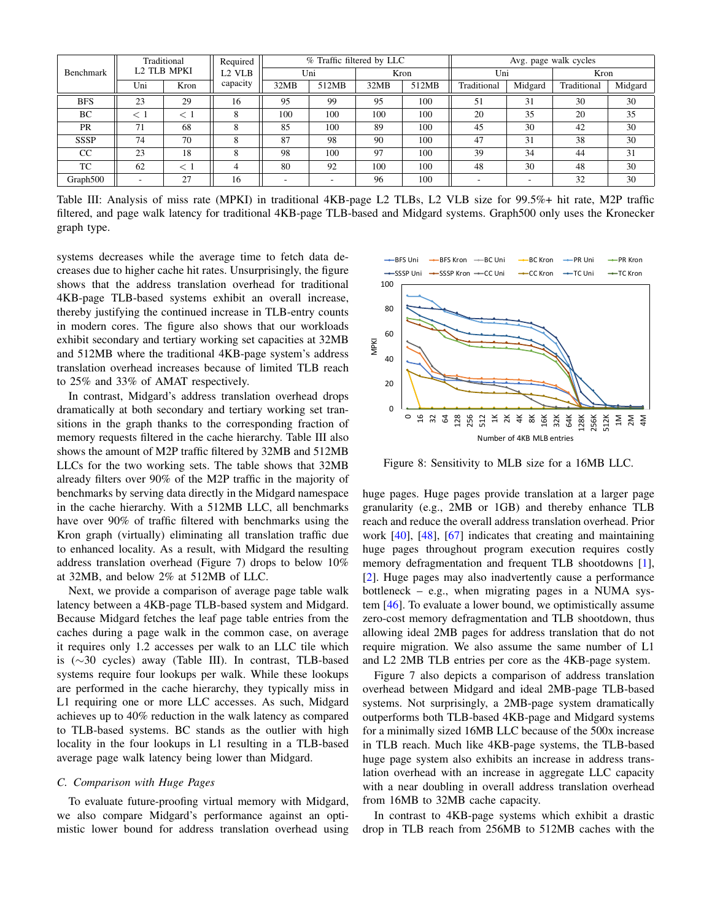<span id="page-9-0"></span>

|                          | Traditional |      | Required           | % Traffic filtered by LLC |       |      |       | Avg. page walk cycles |         |             |         |
|--------------------------|-------------|------|--------------------|---------------------------|-------|------|-------|-----------------------|---------|-------------|---------|
| L2 TLB MPKI<br>Benchmark |             |      | L <sub>2</sub> VLB | Uni                       |       | Kron |       | Uni                   |         | Kron        |         |
|                          | Uni         | Kron | capacity           | 32MB                      | 512MB | 32MB | 512MB | Traditional           | Midgard | Traditional | Midgard |
| <b>BFS</b>               | 23          | 29   | 16                 | 95                        | 99    | 95   | 100   | 51                    | 31      | 30          | 30      |
| BC                       |             |      | 8                  | 100                       | 100   | 100  | 100   | 20                    | 35      | 20          | 35      |
| <b>PR</b>                | 71          | 68   | 8                  | 85                        | 100   | 89   | 100   | 45                    | 30      | 42          | 30      |
| <b>SSSP</b>              | 74          | 70   | 8                  | 87                        | 98    | 90   | 100   | 47                    | 31      | 38          | 30      |
| CC                       | 23          | 18   | 8                  | 98                        | 100   | 97   | 100   | 39                    | 34      | 44          | 31      |
| TC                       | 62          |      | 4                  | 80                        | 92    | 100  | 100   | 48                    | 30      | 48          | 30      |
| Graph500                 |             | 27   | 16                 |                           |       | 96   | 100   |                       |         | 32          | 30      |

Table III: Analysis of miss rate (MPKI) in traditional 4KB-page L2 TLBs, L2 VLB size for 99.5%+ hit rate, M2P traffic filtered, and page walk latency for traditional 4KB-page TLB-based and Midgard systems. Graph500 only uses the Kronecker graph type.

systems decreases while the average time to fetch data decreases due to higher cache hit rates. Unsurprisingly, the figure shows that the address translation overhead for traditional 4KB-page TLB-based systems exhibit an overall increase, thereby justifying the continued increase in TLB-entry counts in modern cores. The figure also shows that our workloads exhibit secondary and tertiary working set capacities at 32MB and 512MB where the traditional 4KB-page system's address translation overhead increases because of limited TLB reach to 25% and 33% of AMAT respectively.

In contrast, Midgard's address translation overhead drops dramatically at both secondary and tertiary working set transitions in the graph thanks to the corresponding fraction of memory requests filtered in the cache hierarchy. Table [III](#page-9-0) also shows the amount of M2P traffic filtered by 32MB and 512MB LLCs for the two working sets. The table shows that 32MB already filters over 90% of the M2P traffic in the majority of benchmarks by serving data directly in the Midgard namespace in the cache hierarchy. With a 512MB LLC, all benchmarks have over 90% of traffic filtered with benchmarks using the Kron graph (virtually) eliminating all translation traffic due to enhanced locality. As a result, with Midgard the resulting address translation overhead (Figure [7\)](#page-8-1) drops to below 10% at 32MB, and below 2% at 512MB of LLC. dramatically at both secondary and tertiary working set transitions in the graph thanks to the corresponding fraction of memory requests filtered in the cache hierarchy. Table III also shows the amount of M2P traffic filt

Next, we provide a comparison of average page table walk latency between a 4KB-page TLB-based system and Midgard. Because Midgard fetches the leaf page table entries from the caches during a page walk in the common case, on average it requires only 1.2 accesses per walk to an LLC tile which is (∼30 cycles) away (Table [III\)](#page-9-0). In contrast, TLB-based systems require four lookups per walk. While these lookups are performed in the cache hierarchy, they typically miss in L1 requiring one or more LLC accesses. As such, Midgard achieves up to 40% reduction in the walk latency as compared to TLB-based systems. BC stands as the outlier with high locality in the four lookups in L1 resulting in a TLB-based average page walk latency being lower than Midgard.

## *C. Comparison with Huge Pages*

To evaluate future-proofing virtual memory with Midgard, we also compare Midgard's performance against an opti-

<span id="page-9-1"></span>

Figure 8: Sensitivity to MLB size for a 16MB LLC.

huge pages. Huge pages provide translation at a larger page granularity (e.g., 2MB or 1GB) and thereby enhance TLB reach and reduce the overall address translation overhead. Prior work [\[40\]](#page-12-16), [\[48\]](#page-12-14), [\[67\]](#page-13-1) indicates that creating and maintaining huge pages throughout program execution requires costly memory defragmentation and frequent TLB shootdowns [\[1\]](#page-11-18), [\[2\]](#page-11-7). Huge pages may also inadvertently cause a performance bottleneck – e.g., when migrating pages in a NUMA system [\[46\]](#page-12-38). To evaluate a lower bound, we optimistically assume zero-cost memory defragmentation and TLB shootdown, thus allowing ideal 2MB pages for address translation that do not require migration. We also assume the same number of L1 and L2 2MB TLB entries per core as the 4KB-page system.

Figure [7](#page-8-1) also depicts a comparison of address translation overhead between Midgard and ideal 2MB-page TLB-based systems. Not surprisingly, a 2MB-page system dramatically outperforms both TLB-based 4KB-page and Midgard systems for a minimally sized 16MB LLC because of the 500x increase in TLB reach. Much like 4KB-page systems, the TLB-based huge page system also exhibits an increase in address translation overhead with an increase in aggregate LLC capacity with a near doubling in overall address translation overhead from 16MB to 32MB cache capacity.

In contrast to 4KB-page systems which exhibit a drastic drop in TLB reach from 256MB to 512MB caches with the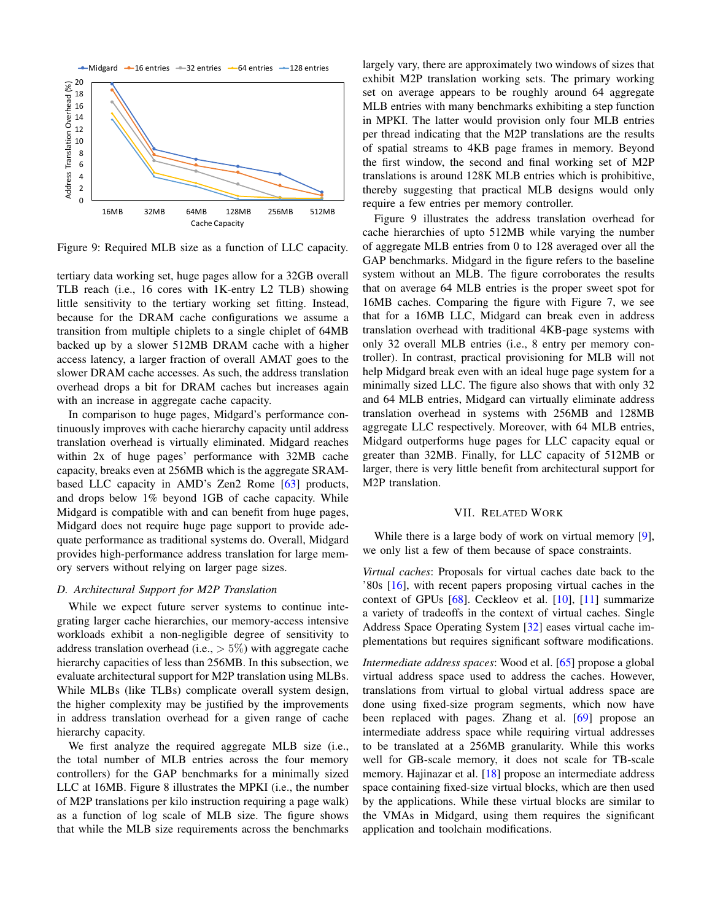<span id="page-10-0"></span>

Figure 9: Required MLB size as a function of LLC capacity.

tertiary data working set, huge pages allow for a 32GB overall TLB reach (i.e., 16 cores with 1K-entry L2 TLB) showing little sensitivity to the tertiary working set fitting. Instead, because for the DRAM cache configurations we assume a transition from multiple chiplets to a single chiplet of 64MB backed up by a slower 512MB DRAM cache with a higher access latency, a larger fraction of overall AMAT goes to the slower DRAM cache accesses. As such, the address translation overhead drops a bit for DRAM caches but increases again with an increase in aggregate cache capacity.

In comparison to huge pages, Midgard's performance continuously improves with cache hierarchy capacity until address translation overhead is virtually eliminated. Midgard reaches within 2x of huge pages' performance with 32MB cache capacity, breaks even at 256MB which is the aggregate SRAMbased LLC capacity in AMD's Zen2 Rome [\[63\]](#page-13-8) products, and drops below 1% beyond 1GB of cache capacity. While Midgard is compatible with and can benefit from huge pages, Midgard does not require huge page support to provide adequate performance as traditional systems do. Overall, Midgard provides high-performance address translation for large memory servers without relying on larger page sizes.

# *D. Architectural Support for M2P Translation*

While we expect future server systems to continue integrating larger cache hierarchies, our memory-access intensive workloads exhibit a non-negligible degree of sensitivity to address translation overhead (i.e.,  $> 5\%$ ) with aggregate cache hierarchy capacities of less than 256MB. In this subsection, we evaluate architectural support for M2P translation using MLBs. While MLBs (like TLBs) complicate overall system design, the higher complexity may be justified by the improvements in address translation overhead for a given range of cache hierarchy capacity.

We first analyze the required aggregate MLB size (i.e., the total number of MLB entries across the four memory controllers) for the GAP benchmarks for a minimally sized LLC at 16MB. Figure [8](#page-9-1) illustrates the MPKI (i.e., the number of M2P translations per kilo instruction requiring a page walk) as a function of log scale of MLB size. The figure shows that while the MLB size requirements across the benchmarks largely vary, there are approximately two windows of sizes that exhibit M2P translation working sets. The primary working set on average appears to be roughly around 64 aggregate MLB entries with many benchmarks exhibiting a step function in MPKI. The latter would provision only four MLB entries per thread indicating that the M2P translations are the results of spatial streams to 4KB page frames in memory. Beyond the first window, the second and final working set of M2P translations is around 128K MLB entries which is prohibitive, thereby suggesting that practical MLB designs would only require a few entries per memory controller.

Figure [9](#page-10-0) illustrates the address translation overhead for cache hierarchies of upto 512MB while varying the number of aggregate MLB entries from 0 to 128 averaged over all the GAP benchmarks. Midgard in the figure refers to the baseline system without an MLB. The figure corroborates the results that on average 64 MLB entries is the proper sweet spot for 16MB caches. Comparing the figure with Figure [7,](#page-8-1) we see that for a 16MB LLC, Midgard can break even in address translation overhead with traditional 4KB-page systems with only 32 overall MLB entries (i.e., 8 entry per memory controller). In contrast, practical provisioning for MLB will not help Midgard break even with an ideal huge page system for a minimally sized LLC. The figure also shows that with only 32 and 64 MLB entries, Midgard can virtually eliminate address translation overhead in systems with 256MB and 128MB aggregate LLC respectively. Moreover, with 64 MLB entries, Midgard outperforms huge pages for LLC capacity equal or greater than 32MB. Finally, for LLC capacity of 512MB or larger, there is very little benefit from architectural support for M2P translation.

## VII. RELATED WORK

While there is a large body of work on virtual memory [\[9\]](#page-11-0), we only list a few of them because of space constraints.

*Virtual caches*: Proposals for virtual caches date back to the '80s [\[16\]](#page-11-10), with recent papers proposing virtual caches in the context of GPUs  $[68]$ . Ceckleov et al.  $[10]$ ,  $[11]$  summarize a variety of tradeoffs in the context of virtual caches. Single Address Space Operating System [\[32\]](#page-12-20) eases virtual cache implementations but requires significant software modifications.

*Intermediate address spaces*: Wood et al. [\[65\]](#page-13-3) propose a global virtual address space used to address the caches. However, translations from virtual to global virtual address space are done using fixed-size program segments, which now have been replaced with pages. Zhang et al. [\[69\]](#page-13-4) propose an intermediate address space while requiring virtual addresses to be translated at a 256MB granularity. While this works well for GB-scale memory, it does not scale for TB-scale memory. Hajinazar et al. [\[18\]](#page-11-11) propose an intermediate address space containing fixed-size virtual blocks, which are then used by the applications. While these virtual blocks are similar to the VMAs in Midgard, using them requires the significant application and toolchain modifications.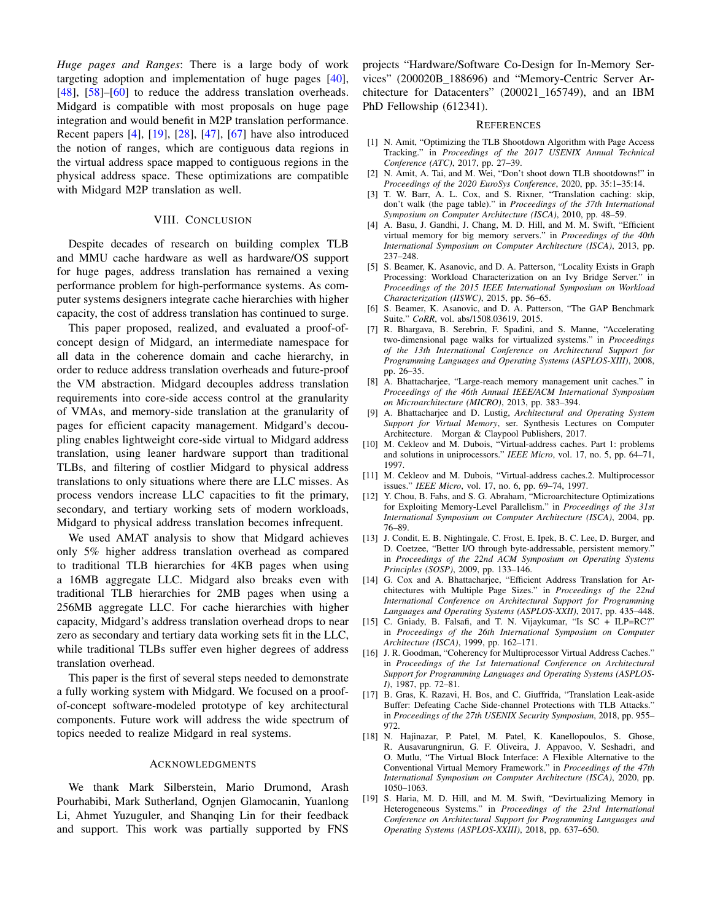*Huge pages and Ranges*: There is a large body of work targeting adoption and implementation of huge pages [\[40\]](#page-12-16), [\[48\]](#page-12-14), [\[58\]](#page-12-39)–[\[60\]](#page-13-2) to reduce the address translation overheads. Midgard is compatible with most proposals on huge page integration and would benefit in M2P translation performance. Recent papers [\[4\]](#page-11-1), [\[19\]](#page-11-3), [\[28\]](#page-12-7), [\[47\]](#page-12-13), [\[67\]](#page-13-1) have also introduced the notion of ranges, which are contiguous data regions in the virtual address space mapped to contiguous regions in the physical address space. These optimizations are compatible with Midgard M2P translation as well.

## VIII. CONCLUSION

Despite decades of research on building complex TLB and MMU cache hardware as well as hardware/OS support for huge pages, address translation has remained a vexing performance problem for high-performance systems. As computer systems designers integrate cache hierarchies with higher capacity, the cost of address translation has continued to surge.

This paper proposed, realized, and evaluated a proof-ofconcept design of Midgard, an intermediate namespace for all data in the coherence domain and cache hierarchy, in order to reduce address translation overheads and future-proof the VM abstraction. Midgard decouples address translation requirements into core-side access control at the granularity of VMAs, and memory-side translation at the granularity of pages for efficient capacity management. Midgard's decoupling enables lightweight core-side virtual to Midgard address translation, using leaner hardware support than traditional TLBs, and filtering of costlier Midgard to physical address translations to only situations where there are LLC misses. As process vendors increase LLC capacities to fit the primary, secondary, and tertiary working sets of modern workloads, Midgard to physical address translation becomes infrequent.

We used AMAT analysis to show that Midgard achieves only 5% higher address translation overhead as compared to traditional TLB hierarchies for 4KB pages when using a 16MB aggregate LLC. Midgard also breaks even with traditional TLB hierarchies for 2MB pages when using a 256MB aggregate LLC. For cache hierarchies with higher capacity, Midgard's address translation overhead drops to near zero as secondary and tertiary data working sets fit in the LLC, while traditional TLBs suffer even higher degrees of address translation overhead.

This paper is the first of several steps needed to demonstrate a fully working system with Midgard. We focused on a proofof-concept software-modeled prototype of key architectural components. Future work will address the wide spectrum of topics needed to realize Midgard in real systems.

## ACKNOWLEDGMENTS

We thank Mark Silberstein, Mario Drumond, Arash Pourhabibi, Mark Sutherland, Ognjen Glamocanin, Yuanlong Li, Ahmet Yuzuguler, and Shanqing Lin for their feedback and support. This work was partially supported by FNS projects "Hardware/Software Co-Design for In-Memory Services" (200020B 188696) and "Memory-Centric Server Architecture for Datacenters" (200021\_165749), and an IBM PhD Fellowship (612341).

#### **REFERENCES**

- <span id="page-11-18"></span>[1] N. Amit, "Optimizing the TLB Shootdown Algorithm with Page Access Tracking." in *Proceedings of the 2017 USENIX Annual Technical Conference (ATC)*, 2017, pp. 27–39.
- <span id="page-11-7"></span>[2] N. Amit, A. Tai, and M. Wei, "Don't shoot down TLB shootdowns!" in *Proceedings of the 2020 EuroSys Conference*, 2020, pp. 35:1–35:14.
- <span id="page-11-5"></span>[3] T. W. Barr, A. L. Cox, and S. Rixner, "Translation caching: skip, don't walk (the page table)." in *Proceedings of the 37th International Symposium on Computer Architecture (ISCA)*, 2010, pp. 48–59.
- <span id="page-11-1"></span>[4] A. Basu, J. Gandhi, J. Chang, M. D. Hill, and M. M. Swift, "Efficient virtual memory for big memory servers." in *Proceedings of the 40th International Symposium on Computer Architecture (ISCA)*, 2013, pp. 237–248.
- <span id="page-11-17"></span>[5] S. Beamer, K. Asanovic, and D. A. Patterson, "Locality Exists in Graph Processing: Workload Characterization on an Ivy Bridge Server." in *Proceedings of the 2015 IEEE International Symposium on Workload Characterization (IISWC)*, 2015, pp. 56–65.
- <span id="page-11-16"></span>[6] S. Beamer, K. Asanovic, and D. A. Patterson, "The GAP Benchmark Suite." *CoRR*, vol. abs/1508.03619, 2015.
- <span id="page-11-6"></span>[7] R. Bhargava, B. Serebrin, F. Spadini, and S. Manne, "Accelerating two-dimensional page walks for virtualized systems." in *Proceedings of the 13th International Conference on Architectural Support for Programming Languages and Operating Systems (ASPLOS-XIII)*, 2008, pp. 26–35.
- <span id="page-11-12"></span>[8] A. Bhattacharjee, "Large-reach memory management unit caches." in *Proceedings of the 46th Annual IEEE/ACM International Symposium on Microarchitecture (MICRO)*, 2013, pp. 383–394.
- <span id="page-11-0"></span>[9] A. Bhattacharjee and D. Lustig, *Architectural and Operating System Support for Virtual Memory*, ser. Synthesis Lectures on Computer Architecture. Morgan & Claypool Publishers, 2017.
- <span id="page-11-8"></span>[10] M. Cekleov and M. Dubois, "Virtual-address caches. Part 1: problems and solutions in uniprocessors." *IEEE Micro*, vol. 17, no. 5, pp. 64–71, 1997.
- <span id="page-11-9"></span>[11] M. Cekleov and M. Dubois, "Virtual-address caches.2. Multiprocessor issues." *IEEE Micro*, vol. 17, no. 6, pp. 69–74, 1997.
- <span id="page-11-15"></span>[12] Y. Chou, B. Fahs, and S. G. Abraham, "Microarchitecture Optimizations for Exploiting Memory-Level Parallelism." in *Proceedings of the 31st International Symposium on Computer Architecture (ISCA)*, 2004, pp. 76–89.
- <span id="page-11-2"></span>[13] J. Condit, E. B. Nightingale, C. Frost, E. Ipek, B. C. Lee, D. Burger, and D. Coetzee, "Better I/O through byte-addressable, persistent memory." in *Proceedings of the 22nd ACM Symposium on Operating Systems Principles (SOSP)*, 2009, pp. 133–146.
- <span id="page-11-4"></span>[14] G. Cox and A. Bhattacharjee, "Efficient Address Translation for Architectures with Multiple Page Sizes." in *Proceedings of the 22nd International Conference on Architectural Support for Programming Languages and Operating Systems (ASPLOS-XXII)*, 2017, pp. 435–448.
- <span id="page-11-13"></span>[15] C. Gniady, B. Falsafi, and T. N. Vijaykumar, "Is SC + ILP=RC?" in *Proceedings of the 26th International Symposium on Computer Architecture (ISCA)*, 1999, pp. 162–171.
- <span id="page-11-10"></span>[16] J. R. Goodman, "Coherency for Multiprocessor Virtual Address Caches." in *Proceedings of the 1st International Conference on Architectural Support for Programming Languages and Operating Systems (ASPLOS-I)*, 1987, pp. 72–81.
- <span id="page-11-14"></span>[17] B. Gras, K. Razavi, H. Bos, and C. Giuffrida, "Translation Leak-aside Buffer: Defeating Cache Side-channel Protections with TLB Attacks." in *Proceedings of the 27th USENIX Security Symposium*, 2018, pp. 955– 972.
- <span id="page-11-11"></span>[18] N. Hajinazar, P. Patel, M. Patel, K. Kanellopoulos, S. Ghose, R. Ausavarungnirun, G. F. Oliveira, J. Appavoo, V. Seshadri, and O. Mutlu, "The Virtual Block Interface: A Flexible Alternative to the Conventional Virtual Memory Framework." in *Proceedings of the 47th International Symposium on Computer Architecture (ISCA)*, 2020, pp. 1050–1063.
- <span id="page-11-3"></span>[19] S. Haria, M. D. Hill, and M. M. Swift, "Devirtualizing Memory in Heterogeneous Systems." in *Proceedings of the 23rd International Conference on Architectural Support for Programming Languages and Operating Systems (ASPLOS-XXIII)*, 2018, pp. 637–650.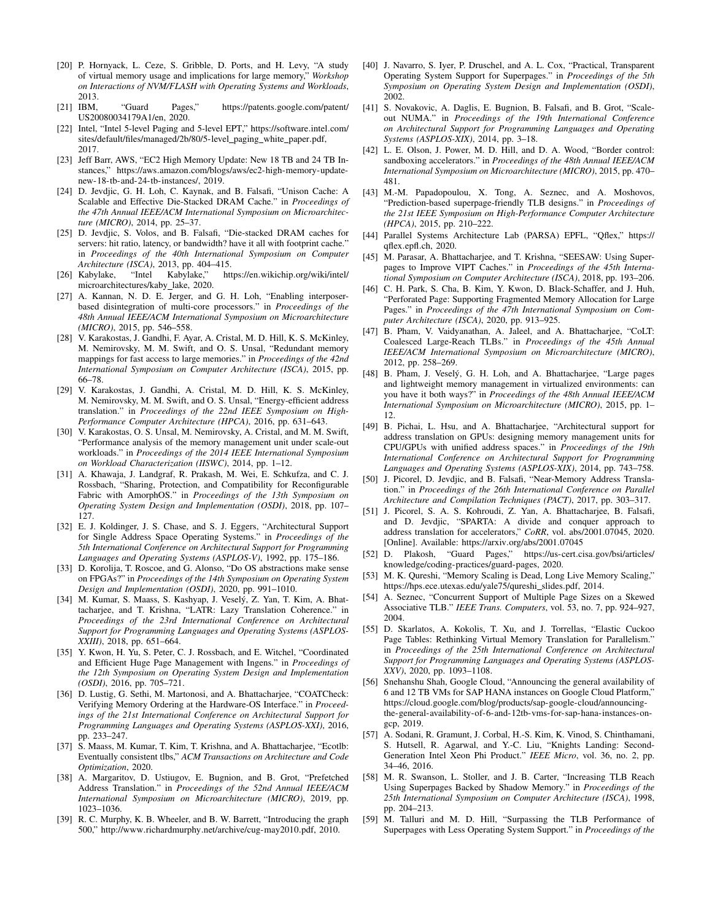- <span id="page-12-21"></span>[20] P. Hornyack, L. Ceze, S. Gribble, D. Ports, and H. Levy, "A study of virtual memory usage and implications for large memory," *Workshop on Interactions of NVM/FLASH with Operating Systems and Workloads*, 2013.
- <span id="page-12-31"></span>[21] IBM, "Guard Pages," [https://patents](https://patents.google.com/patent/US20080034179A1/en).google.com/patent/ [US20080034179A1/en,](https://patents.google.com/patent/US20080034179A1/en) 2020.
- <span id="page-12-26"></span>[22] Intel, "Intel 5-level Paging and 5-level EPT," [https://software](https://software.intel.com/sites/default/files/managed/2b/80/5-level_paging_white_paper.pdf).intel.com/ [sites/default/files/managed/2b/80/5-level](https://software.intel.com/sites/default/files/managed/2b/80/5-level_paging_white_paper.pdf)\_paging\_white\_paper.pdf, 2017.
- <span id="page-12-23"></span>[23] Jeff Barr, AWS, "EC2 High Memory Update: New 18 TB and 24 TB Instances," https://aws.amazon.[com/blogs/aws/ec2-high-memory-update](https://aws.amazon.com/blogs/aws/ec2-high-memory-update-new-18-tb-and-24-tb-instances/)[new-18-tb-and-24-tb-instances/,](https://aws.amazon.com/blogs/aws/ec2-high-memory-update-new-18-tb-and-24-tb-instances/) 2019.
- <span id="page-12-8"></span>[24] D. Jevdjic, G. H. Loh, C. Kaynak, and B. Falsafi, "Unison Cache: A Scalable and Effective Die-Stacked DRAM Cache." in *Proceedings of the 47th Annual IEEE/ACM International Symposium on Microarchitecture (MICRO)*, 2014, pp. 25–37.
- <span id="page-12-9"></span>[25] D. Jevdjic, S. Volos, and B. Falsafi, "Die-stacked DRAM caches for servers: hit ratio, latency, or bandwidth? have it all with footprint cache." in *Proceedings of the 40th International Symposium on Computer Architecture (ISCA)*, 2013, pp. 404–415.
- <span id="page-12-25"></span>[26] Kabylake, "Intel Kabylake," https://en.wikichip.[org/wiki/intel/](https://en.wikichip.org/wiki/intel/microarchitectures/kaby_lake) [microarchitectures/kaby](https://en.wikichip.org/wiki/intel/microarchitectures/kaby_lake) lake, 2020.
- <span id="page-12-6"></span>[27] A. Kannan, N. D. E. Jerger, and G. H. Loh, "Enabling interposerbased disintegration of multi-core processors." in *Proceedings of the 48th Annual IEEE/ACM International Symposium on Microarchitecture (MICRO)*, 2015, pp. 546–558.
- <span id="page-12-7"></span>[28] V. Karakostas, J. Gandhi, F. Ayar, A. Cristal, M. D. Hill, K. S. McKinley, M. Nemirovsky, M. M. Swift, and O. S. Unsal, "Redundant memory mappings for fast access to large memories." in *Proceedings of the 42nd International Symposium on Computer Architecture (ISCA)*, 2015, pp. 66–78.
- <span id="page-12-36"></span>[29] V. Karakostas, J. Gandhi, A. Cristal, M. D. Hill, K. S. McKinley, M. Nemirovsky, M. M. Swift, and O. S. Unsal, "Energy-efficient address translation." in *Proceedings of the 22nd IEEE Symposium on High-Performance Computer Architecture (HPCA)*, 2016, pp. 631–643.
- <span id="page-12-37"></span>[30] V. Karakostas, O. S. Unsal, M. Nemirovsky, A. Cristal, and M. M. Swift, "Performance analysis of the memory management unit under scale-out workloads." in *Proceedings of the 2014 IEEE International Symposium on Workload Characterization (IISWC)*, 2014, pp. 1–12.
- <span id="page-12-4"></span>[31] A. Khawaja, J. Landgraf, R. Prakash, M. Wei, E. Schkufza, and C. J. Rossbach, "Sharing, Protection, and Compatibility for Reconfigurable Fabric with AmorphOS." in *Proceedings of the 13th Symposium on Operating System Design and Implementation (OSDI)*, 2018, pp. 107– 127.
- <span id="page-12-20"></span>[32] E. J. Koldinger, J. S. Chase, and S. J. Eggers, "Architectural Support for Single Address Space Operating Systems." in *Proceedings of the 5th International Conference on Architectural Support for Programming Languages and Operating Systems (ASPLOS-V)*, 1992, pp. 175–186.
- <span id="page-12-2"></span>[33] D. Korolija, T. Roscoe, and G. Alonso, "Do OS abstractions make sense on FPGAs?" in *Proceedings of the 14th Symposium on Operating System Design and Implementation (OSDI)*, 2020, pp. 991–1010.
- <span id="page-12-18"></span>[34] M. Kumar, S. Maass, S. Kashyap, J. Veselý, Z. Yan, T. Kim, A. Bhattacharjee, and T. Krishna, "LATR: Lazy Translation Coherence." in *Proceedings of the 23rd International Conference on Architectural Support for Programming Languages and Operating Systems (ASPLOS-XXIII)*, 2018, pp. 651–664.
- <span id="page-12-15"></span>[35] Y. Kwon, H. Yu, S. Peter, C. J. Rossbach, and E. Witchel, "Coordinated and Efficient Huge Page Management with Ingens." in *Proceedings of the 12th Symposium on Operating System Design and Implementation (OSDI)*, 2016, pp. 705–721.
- <span id="page-12-10"></span>[36] D. Lustig, G. Sethi, M. Martonosi, and A. Bhattacharjee, "COATCheck: Verifying Memory Ordering at the Hardware-OS Interface." in *Proceedings of the 21st International Conference on Architectural Support for Programming Languages and Operating Systems (ASPLOS-XXI)*, 2016, pp. 233–247.
- <span id="page-12-19"></span>[37] S. Maass, M. Kumar, T. Kim, T. Krishna, and A. Bhattacharjee, "Ecotlb: Eventually consistent tlbs," *ACM Transactions on Architecture and Code Optimization*, 2020.
- <span id="page-12-22"></span>[38] A. Margaritov, D. Ustiugov, E. Bugnion, and B. Grot, "Prefetched Address Translation." in *Proceedings of the 52nd Annual IEEE/ACM International Symposium on Microarchitecture (MICRO)*, 2019, pp. 1023–1036.
- <span id="page-12-35"></span>[39] R. C. Murphy, K. B. Wheeler, and B. W. Barrett, "Introducing the graph 500," http://www.richardmurphy.[net/archive/cug-may2010](http://www.richardmurphy.net/archive/cug-may2010.pdf).pdf, 2010.
- <span id="page-12-16"></span>[40] J. Navarro, S. Iyer, P. Druschel, and A. L. Cox, "Practical, Transparent Operating System Support for Superpages." in *Proceedings of the 5th Symposium on Operating System Design and Implementation (OSDI)*, 2002.
- <span id="page-12-3"></span>[41] S. Novakovic, A. Daglis, E. Bugnion, B. Falsafi, and B. Grot, "Scaleout NUMA." in *Proceedings of the 19th International Conference on Architectural Support for Programming Languages and Operating Systems (ASPLOS-XIX)*, 2014, pp. 3–18.
- <span id="page-12-33"></span>[42] L. E. Olson, J. Power, M. D. Hill, and D. A. Wood, "Border control: sandboxing accelerators." in *Proceedings of the 48th Annual IEEE/ACM International Symposium on Microarchitecture (MICRO)*, 2015, pp. 470– 481.
- <span id="page-12-11"></span>[43] M.-M. Papadopoulou, X. Tong, A. Seznec, and A. Moshovos, "Prediction-based superpage-friendly TLB designs." in *Proceedings of the 21st IEEE Symposium on High-Performance Computer Architecture (HPCA)*, 2015, pp. 210–222.
- <span id="page-12-34"></span>[44] Parallel Systems Architecture Lab (PARSA) EPFL, "Qflex," [https://](https://qflex.epfl.ch) [qflex](https://qflex.epfl.ch).epfl.ch, 2020.
- <span id="page-12-30"></span>[45] M. Parasar, A. Bhattacharjee, and T. Krishna, "SEESAW: Using Superpages to Improve VIPT Caches." in *Proceedings of the 45th International Symposium on Computer Architecture (ISCA)*, 2018, pp. 193–206.
- <span id="page-12-38"></span>[46] C. H. Park, S. Cha, B. Kim, Y. Kwon, D. Black-Schaffer, and J. Huh, "Perforated Page: Supporting Fragmented Memory Allocation for Large Pages." in *Proceedings of the 47th International Symposium on Computer Architecture (ISCA)*, 2020, pp. 913–925.
- <span id="page-12-13"></span>[47] B. Pham, V. Vaidyanathan, A. Jaleel, and A. Bhattacharjee, "CoLT: Coalesced Large-Reach TLBs." in *Proceedings of the 45th Annual IEEE/ACM International Symposium on Microarchitecture (MICRO)*, 2012, pp. 258–269.
- <span id="page-12-14"></span>[48] B. Pham, J. Veselý, G. H. Loh, and A. Bhattacharjee, "Large pages and lightweight memory management in virtualized environments: can you have it both ways?" in *Proceedings of the 48th Annual IEEE/ACM International Symposium on Microarchitecture (MICRO)*, 2015, pp. 1– 12.
- <span id="page-12-1"></span>[49] B. Pichai, L. Hsu, and A. Bhattacharjee, "Architectural support for address translation on GPUs: designing memory management units for CPU/GPUs with unified address spaces." in *Proceedings of the 19th International Conference on Architectural Support for Programming Languages and Operating Systems (ASPLOS-XIX)*, 2014, pp. 743–758.
- <span id="page-12-0"></span>[50] J. Picorel, D. Jevdjic, and B. Falsafi, "Near-Memory Address Translation." in *Proceedings of the 26th International Conference on Parallel Architecture and Compilation Techniques (PACT)*, 2017, pp. 303–317.
- <span id="page-12-5"></span>[51] J. Picorel, S. A. S. Kohroudi, Z. Yan, A. Bhattacharjee, B. Falsafi, and D. Jevdjic, "SPARTA: A divide and conquer approach to address translation for accelerators," *CoRR*, vol. abs/2001.07045, 2020. [Online]. Available: https://arxiv.[org/abs/2001](https://arxiv.org/abs/2001.07045).07045
- <span id="page-12-32"></span>[52] D. Plakosh, "Guard Pages," https://us-cert.cisa.[gov/bsi/articles/](https://us-cert.cisa.gov/bsi/articles/knowledge/coding-practices/guard-pages) [knowledge/coding-practices/guard-pages,](https://us-cert.cisa.gov/bsi/articles/knowledge/coding-practices/guard-pages) 2020.
- <span id="page-12-28"></span>[53] M. K. Qureshi, "Memory Scaling is Dead, Long Live Memory Scaling," https://hps.ece.utexas.[edu/yale75/qureshi](https://hps.ece.utexas.edu/yale75/qureshi_slides.pdf)\_slides.pdf, 2014.
- <span id="page-12-12"></span>[54] A. Seznec, "Concurrent Support of Multiple Page Sizes on a Skewed Associative TLB." *IEEE Trans. Computers*, vol. 53, no. 7, pp. 924–927, 2004.
- <span id="page-12-27"></span>[55] D. Skarlatos, A. Kokolis, T. Xu, and J. Torrellas, "Elastic Cuckoo Page Tables: Rethinking Virtual Memory Translation for Parallelism." in *Proceedings of the 25th International Conference on Architectural Support for Programming Languages and Operating Systems (ASPLOS-XXV)*, 2020, pp. 1093–1108.
- <span id="page-12-24"></span>[56] Snehanshu Shah, Google Cloud, "Announcing the general availability of 6 and 12 TB VMs for SAP HANA instances on Google Cloud Platform," https://cloud.google.[com/blog/products/sap-google-cloud/announcing](https://cloud.google.com/blog/products/sap-google-cloud/announcing-the-general-availability-of-6-and-12tb-vms-for-sap-hana-instances-on-gcp)[the-general-availability-of-6-and-12tb-vms-for-sap-hana-instances-on](https://cloud.google.com/blog/products/sap-google-cloud/announcing-the-general-availability-of-6-and-12tb-vms-for-sap-hana-instances-on-gcp)[gcp,](https://cloud.google.com/blog/products/sap-google-cloud/announcing-the-general-availability-of-6-and-12tb-vms-for-sap-hana-instances-on-gcp) 2019.
- <span id="page-12-29"></span>[57] A. Sodani, R. Gramunt, J. Corbal, H.-S. Kim, K. Vinod, S. Chinthamani, S. Hutsell, R. Agarwal, and Y.-C. Liu, "Knights Landing: Second-Generation Intel Xeon Phi Product." *IEEE Micro*, vol. 36, no. 2, pp. 34–46, 2016.
- <span id="page-12-39"></span>[58] M. R. Swanson, L. Stoller, and J. B. Carter, "Increasing TLB Reach Using Superpages Backed by Shadow Memory." in *Proceedings of the 25th International Symposium on Computer Architecture (ISCA)*, 1998, pp. 204–213.
- <span id="page-12-17"></span>[59] M. Talluri and M. D. Hill, "Surpassing the TLB Performance of Superpages with Less Operating System Support." in *Proceedings of the*